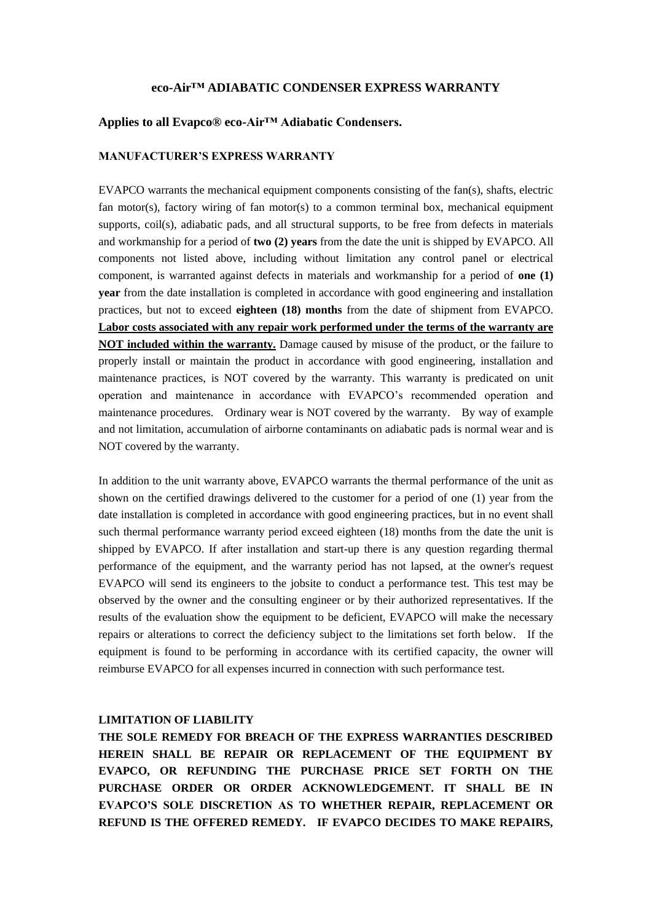## **eco-Air™ ADIABATIC CONDENSER EXPRESS WARRANTY**

## **Applies to all Evapco® eco-Air™ Adiabatic Condensers.**

#### **MANUFACTURER'S EXPRESS WARRANTY**

EVAPCO warrants the mechanical equipment components consisting of the fan(s), shafts, electric fan motor(s), factory wiring of fan motor(s) to a common terminal box, mechanical equipment supports, coil(s), adiabatic pads, and all structural supports, to be free from defects in materials and workmanship for a period of **two (2) years** from the date the unit is shipped by EVAPCO. All components not listed above, including without limitation any control panel or electrical component, is warranted against defects in materials and workmanship for a period of **one (1) year** from the date installation is completed in accordance with good engineering and installation practices, but not to exceed **eighteen (18) months** from the date of shipment from EVAPCO. **Labor costs associated with any repair work performed under the terms of the warranty are NOT included within the warranty.** Damage caused by misuse of the product, or the failure to properly install or maintain the product in accordance with good engineering, installation and maintenance practices, is NOT covered by the warranty. This warranty is predicated on unit operation and maintenance in accordance with EVAPCO's recommended operation and maintenance procedures. Ordinary wear is NOT covered by the warranty. By way of example and not limitation, accumulation of airborne contaminants on adiabatic pads is normal wear and is NOT covered by the warranty.

In addition to the unit warranty above, EVAPCO warrants the thermal performance of the unit as shown on the certified drawings delivered to the customer for a period of one (1) year from the date installation is completed in accordance with good engineering practices, but in no event shall such thermal performance warranty period exceed eighteen (18) months from the date the unit is shipped by EVAPCO. If after installation and start-up there is any question regarding thermal performance of the equipment, and the warranty period has not lapsed, at the owner's request EVAPCO will send its engineers to the jobsite to conduct a performance test. This test may be observed by the owner and the consulting engineer or by their authorized representatives. If the results of the evaluation show the equipment to be deficient, EVAPCO will make the necessary repairs or alterations to correct the deficiency subject to the limitations set forth below. If the equipment is found to be performing in accordance with its certified capacity, the owner will reimburse EVAPCO for all expenses incurred in connection with such performance test.

### **LIMITATION OF LIABILITY**

**THE SOLE REMEDY FOR BREACH OF THE EXPRESS WARRANTIES DESCRIBED HEREIN SHALL BE REPAIR OR REPLACEMENT OF THE EQUIPMENT BY EVAPCO, OR REFUNDING THE PURCHASE PRICE SET FORTH ON THE PURCHASE ORDER OR ORDER ACKNOWLEDGEMENT. IT SHALL BE IN EVAPCO'S SOLE DISCRETION AS TO WHETHER REPAIR, REPLACEMENT OR REFUND IS THE OFFERED REMEDY. IF EVAPCO DECIDES TO MAKE REPAIRS,**